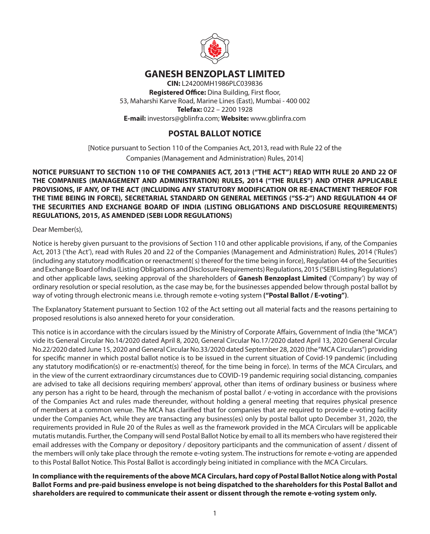

# **GANESH BENZOPLAST LIMITED**

**CIN:** L24200MH1986PLC039836 **Registered Office:** Dina Building, First floor, 53, Maharshi Karve Road, Marine Lines (East), Mumbai - 400 002 **Telefax:** 022 – 2200 1928 **E-mail:** investors@gblinfra.com; **Website:** www.gblinfra.com

# **POSTAL BALLOT NOTICE**

[Notice pursuant to Section 110 of the Companies Act, 2013, read with Rule 22 of the Companies (Management and Administration) Rules, 2014]

## **NOTICE PURSUANT TO SECTION 110 OF THE COMPANIES ACT, 2013 ("THE ACT") READ WITH RULE 20 AND 22 OF THE COMPANIES (MANAGEMENT AND ADMINISTRATION) RULES, 2014 ("THE RULES") AND OTHER APPLICABLE PROVISIONS, IF ANY, OF THE ACT (INCLUDING ANY STATUTORY MODIFICATION OR RE-ENACTMENT THEREOF FOR THE TIME BEING IN FORCE), SECRETARIAL STANDARD ON GENERAL MEETINGS ("SS-2") AND REGULATION 44 OF THE SECURITIES AND EXCHANGE BOARD OF INDIA (LISTING OBLIGATIONS AND DISCLOSURE REQUIREMENTS) REGULATIONS, 2015, AS AMENDED (SEBI LODR REGULATIONS)**

Dear Member(s),

Notice is hereby given pursuant to the provisions of Section 110 and other applicable provisions, if any, of the Companies Act, 2013 ('the Act'), read with Rules 20 and 22 of the Companies (Management and Administration) Rules, 2014 ('Rules') (including any statutory modification or reenactment( s) thereof for the time being in force), Regulation 44 of the Securities and Exchange Board of India (Listing Obligations and Disclosure Requirements) Regulations, 2015 ('SEBI Listing Regulations') and other applicable laws, seeking approval of the shareholders of **Ganesh Benzoplast Limited** ('Company') by way of ordinary resolution or special resolution, as the case may be, for the businesses appended below through postal ballot by way of voting through electronic means i.e. through remote e-voting system **("Postal Ballot / E-voting")**.

The Explanatory Statement pursuant to Section 102 of the Act setting out all material facts and the reasons pertaining to proposed resolutions is also annexed hereto for your consideration.

This notice is in accordance with the circulars issued by the Ministry of Corporate Affairs, Government of India (the "MCA") vide its General Circular No.14/2020 dated April 8, 2020, General Circular No.17/2020 dated April 13, 2020 General Circular No.22/2020 dated June 15, 2020 and General Circular No.33/2020 dated September 28, 2020 (the "MCA Circulars") providing for specific manner in which postal ballot notice is to be issued in the current situation of Covid-19 pandemic (including any statutory modification(s) or re-enactment(s) thereof, for the time being in force). In terms of the MCA Circulars, and in the view of the current extraordinary circumstances due to COVID-19 pandemic requiring social distancing, companies are advised to take all decisions requiring members' approval, other than items of ordinary business or business where any person has a right to be heard, through the mechanism of postal ballot / e-voting in accordance with the provisions of the Companies Act and rules made thereunder, without holding a general meeting that requires physical presence of members at a common venue. The MCA has clarified that for companies that are required to provide e-voting facility under the Companies Act, while they are transacting any business(es) only by postal ballot upto December 31, 2020, the requirements provided in Rule 20 of the Rules as well as the framework provided in the MCA Circulars will be applicable mutatis mutandis. Further, the Company will send Postal Ballot Notice by email to all its members who have registered their email addresses with the Company or depository / depository participants and the communication of assent / dissent of the members will only take place through the remote e-voting system. The instructions for remote e-voting are appended to this Postal Ballot Notice. This Postal Ballot is accordingly being initiated in compliance with the MCA Circulars.

**In compliance with the requirements of the above MCA Circulars, hard copy of Postal Ballot Notice along with Postal Ballot Forms and pre-paid business envelope is not being dispatched to the shareholders for this Postal Ballot and shareholders are required to communicate their assent or dissent through the remote e-voting system only.**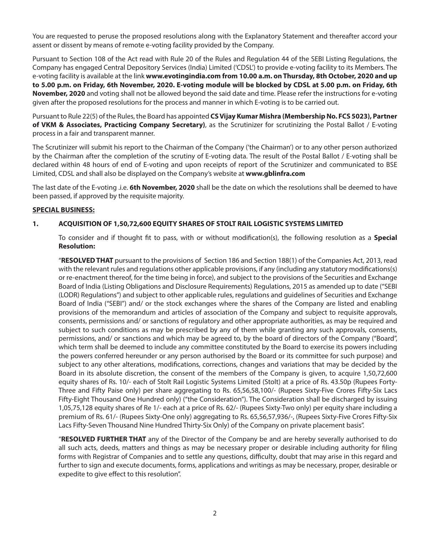You are requested to peruse the proposed resolutions along with the Explanatory Statement and thereafter accord your assent or dissent by means of remote e-voting facility provided by the Company.

Pursuant to Section 108 of the Act read with Rule 20 of the Rules and Regulation 44 of the SEBI Listing Regulations, the Company has engaged Central Depository Services (India) Limited ('CDSL') to provide e-voting facility to its Members. The e-voting facility is available at the link **www.evotingindia.com from 10.00 a.m. on Thursday, 8th October, 2020 and up to 5.00 p.m. on Friday, 6th November, 2020. E-voting module will be blocked by CDSL at 5.00 p.m. on Friday, 6th November, 2020** and voting shall not be allowed beyond the said date and time. Please refer the instructions for e-voting given after the proposed resolutions for the process and manner in which E-voting is to be carried out.

Pursuant to Rule 22(5) of the Rules, the Board has appointed **CS Vijay Kumar Mishra (Membership No. FCS 5023), Partner of VKM & Associates, Practicing Company Secretary)**, as the Scrutinizer for scrutinizing the Postal Ballot / E-voting process in a fair and transparent manner.

The Scrutinizer will submit his report to the Chairman of the Company ('the Chairman') or to any other person authorized by the Chairman after the completion of the scrutiny of E-voting data. The result of the Postal Ballot / E-voting shall be declared within 48 hours of end of E-voting and upon receipts of report of the Scrutinizer and communicated to BSE Limited, CDSL and shall also be displayed on the Company's website at **www.gblinfra.com**

The last date of the E-voting .i.e. **6th November, 2020** shall be the date on which the resolutions shall be deemed to have been passed, if approved by the requisite majority.

## **SPECIAL BUSINESS:**

## **1. ACQUISITION OF 1,50,72,600 EQUITY SHARES OF STOLT RAIL LOGISTIC SYSTEMS LIMITED**

To consider and if thought fit to pass, with or without modification(s), the following resolution as a **Special Resolution:**

"**RESOLVED THAT** pursuant to the provisions of Section 186 and Section 188(1) of the Companies Act, 2013, read with the relevant rules and regulations other applicable provisions, if any (including any statutory modifications(s) or re-enactment thereof, for the time being in force), and subject to the provisions of the Securities and Exchange Board of India (Listing Obligations and Disclosure Requirements) Regulations, 2015 as amended up to date ("SEBI (LODR) Regulations") and subject to other applicable rules, regulations and guidelines of Securities and Exchange Board of India ("SEBI") and/ or the stock exchanges where the shares of the Company are listed and enabling provisions of the memorandum and articles of association of the Company and subject to requisite approvals, consents, permissions and/ or sanctions of regulatory and other appropriate authorities, as may be required and subject to such conditions as may be prescribed by any of them while granting any such approvals, consents, permissions, and/ or sanctions and which may be agreed to, by the board of directors of the Company ("Board", which term shall be deemed to include any committee constituted by the Board to exercise its powers including the powers conferred hereunder or any person authorised by the Board or its committee for such purpose) and subject to any other alterations, modifications, corrections, changes and variations that may be decided by the Board in its absolute discretion, the consent of the members of the Company is given, to acquire 1,50,72,600 equity shares of Rs. 10/- each of Stolt Rail Logistic Systems Limited (Stolt) at a price of Rs. 43.50p (Rupees Forty-Three and Fifty Paise only) per share aggregating to Rs. 65,56,58,100/- (Rupees Sixty-Five Crores Fifty-Six Lacs Fifty-Eight Thousand One Hundred only) ("the Consideration"). The Consideration shall be discharged by issuing 1,05,75,128 equity shares of Re 1/- each at a price of Rs. 62/- (Rupees Sixty-Two only) per equity share including a premium of Rs. 61/- (Rupees Sixty-One only) aggregating to Rs. 65,56,57,936/-, (Rupees Sixty-Five Crores Fifty-Six Lacs Fifty-Seven Thousand Nine Hundred Thirty-Six Only) of the Company on private placement basis".

"**RESOLVED FURTHER THAT** any of the Director of the Company be and are hereby severally authorised to do all such acts, deeds, matters and things as may be necessary proper or desirable including authority for filing forms with Registrar of Companies and to settle any questions, difficulty, doubt that may arise in this regard and further to sign and execute documents, forms, applications and writings as may be necessary, proper, desirable or expedite to give effect to this resolution".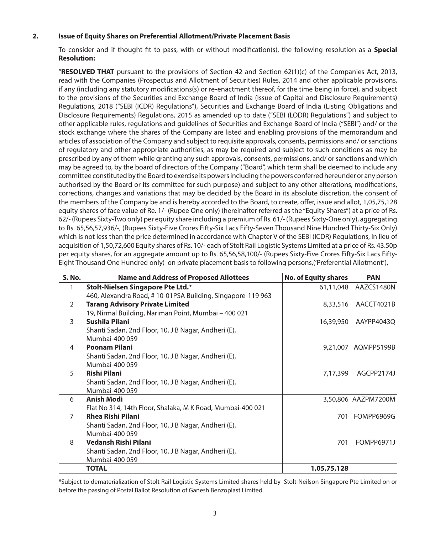#### **2. Issue of Equity Shares on Preferential Allotment/Private Placement Basis**

To consider and if thought fit to pass, with or without modification(s), the following resolution as a **Special Resolution:**

"**RESOLVED THAT** pursuant to the provisions of Section 42 and Section 62(1)(c) of the Companies Act, 2013, read with the Companies (Prospectus and Allotment of Securities) Rules, 2014 and other applicable provisions, if any (including any statutory modifications(s) or re-enactment thereof, for the time being in force), and subject to the provisions of the Securities and Exchange Board of India (Issue of Capital and Disclosure Requirements) Regulations, 2018 ("SEBI (ICDR) Regulations"), Securities and Exchange Board of India (Listing Obligations and Disclosure Requirements) Regulations, 2015 as amended up to date ("SEBI (LODR) Regulations") and subject to other applicable rules, regulations and guidelines of Securities and Exchange Board of India ("SEBI") and/ or the stock exchange where the shares of the Company are listed and enabling provisions of the memorandum and articles of association of the Company and subject to requisite approvals, consents, permissions and/ or sanctions of regulatory and other appropriate authorities, as may be required and subject to such conditions as may be prescribed by any of them while granting any such approvals, consents, permissions, and/ or sanctions and which may be agreed to, by the board of directors of the Company ("Board", which term shall be deemed to include any committee constituted by the Board to exercise its powers including the powers conferred hereunder or any person authorised by the Board or its committee for such purpose) and subject to any other alterations, modifications, corrections, changes and variations that may be decided by the Board in its absolute discretion, the consent of the members of the Company be and is hereby accorded to the Board, to create, offer, issue and allot, 1,05,75,128 equity shares of face value of Re. 1/- (Rupee One only) (hereinafter referred as the "Equity Shares") at a price of Rs. 62/- (Rupees Sixty-Two only) per equity share including a premium of Rs. 61/- (Rupees Sixty-One only), aggregating to Rs. 65,56,57,936/-, (Rupees Sixty-Five Crores Fifty-Six Lacs Fifty-Seven Thousand Nine Hundred Thirty-Six Only) which is not less than the price determined in accordance with Chapter V of the SEBI (ICDR) Regulations, in lieu of acquisition of 1,50,72,600 Equity shares of Rs. 10/- each of Stolt Rail Logistic Systems Limited at a price of Rs. 43.50p per equity shares, for an aggregate amount up to Rs. 65,56,58,100/- (Rupees Sixty-Five Crores Fifty-Six Lacs Fifty-Eight Thousand One Hundred only) on private placement basis to following persons,('Preferential Allotment'),

| <b>S. No.</b>  | <b>Name and Address of Proposed Allottees</b>              | <b>No. of Equity shares</b> | <b>PAN</b>          |
|----------------|------------------------------------------------------------|-----------------------------|---------------------|
|                | Stolt-Nielsen Singapore Pte Ltd.*                          | 61,11,048                   | AAZCS1480N          |
|                | 460, Alexandra Road, #10-01PSA Building, Singapore-119 963 |                             |                     |
| $\mathcal{P}$  | <b>Tarang Advisory Private Limited</b>                     | 8,33,516                    | AACCT4021B          |
|                | 19, Nirmal Building, Nariman Point, Mumbai - 400 021       |                             |                     |
| 3              | Sushila Pilani                                             | 16,39,950                   | AAYPP4043Q          |
|                | Shanti Sadan, 2nd Floor, 10, J B Nagar, Andheri (E),       |                             |                     |
|                | Mumbai-400 059                                             |                             |                     |
| 4              | <b>Poonam Pilani</b>                                       | 9,21,007                    | AQMPP5199B          |
|                | Shanti Sadan, 2nd Floor, 10, J B Nagar, Andheri (E),       |                             |                     |
|                | Mumbai-400 059                                             |                             |                     |
| $5^{\circ}$    | <b>Rishi Pilani</b>                                        | 7,17,399                    | AGCPP2174J          |
|                | Shanti Sadan, 2nd Floor, 10, J B Nagar, Andheri (E),       |                             |                     |
|                | Mumbai-400 059                                             |                             |                     |
| 6              | <b>Anish Modi</b>                                          |                             | 3,50,806 AAZPM7200M |
|                | Flat No 314, 14th Floor, Shalaka, M K Road, Mumbai-400 021 |                             |                     |
| $\overline{7}$ | <b>Rhea Rishi Pilani</b>                                   | 701                         | FOMPP6969G          |
|                | Shanti Sadan, 2nd Floor, 10, J B Nagar, Andheri (E),       |                             |                     |
|                | Mumbai-400 059                                             |                             |                     |
| 8              | Vedansh Rishi Pilani                                       | 701                         | FOMPP6971J          |
|                | Shanti Sadan, 2nd Floor, 10, J B Nagar, Andheri (E),       |                             |                     |
|                | Mumbai-400 059                                             |                             |                     |
|                | <b>TOTAL</b>                                               | 1,05,75,128                 |                     |

\*Subject to dematerialization of Stolt Rail Logistic Systems Limited shares held by Stolt-Neilson Singapore Pte Limited on or before the passing of Postal Ballot Resolution of Ganesh Benzoplast Limited.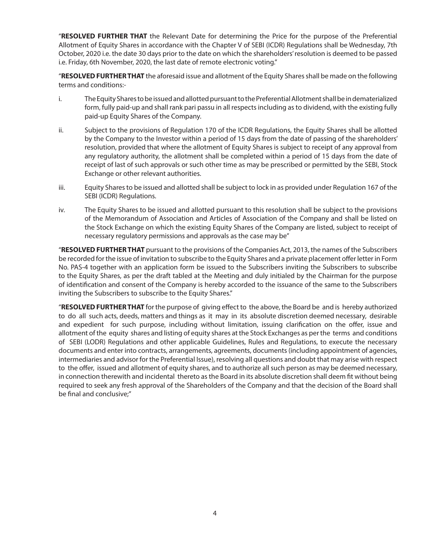"**RESOLVED FURTHER THAT** the Relevant Date for determining the Price for the purpose of the Preferential Allotment of Equity Shares in accordance with the Chapter V of SEBI (ICDR) Regulations shall be Wednesday, 7th October, 2020 i.e. the date 30 days prior to the date on which the shareholders' resolution is deemed to be passed i.e. Friday, 6th November, 2020, the last date of remote electronic voting."

"**RESOLVED FURTHER THAT** the aforesaid issue and allotment of the Equity Shares shall be made on the following terms and conditions:-

- i. The Equity Shares to be issued and allotted pursuant to the Preferential Allotment shall be in dematerialized form, fully paid-up and shall rank pari passu in all respects including as to dividend, with the existing fully paid-up Equity Shares of the Company.
- ii. Subject to the provisions of Regulation 170 of the ICDR Regulations, the Equity Shares shall be allotted by the Company to the Investor within a period of 15 days from the date of passing of the shareholders' resolution, provided that where the allotment of Equity Shares is subject to receipt of any approval from any regulatory authority, the allotment shall be completed within a period of 15 days from the date of receipt of last of such approvals or such other time as may be prescribed or permitted by the SEBI, Stock Exchange or other relevant authorities.
- iii. Equity Shares to be issued and allotted shall be subject to lock in as provided under Regulation 167 of the SEBI (ICDR) Regulations.
- iv. The Equity Shares to be issued and allotted pursuant to this resolution shall be subject to the provisions of the Memorandum of Association and Articles of Association of the Company and shall be listed on the Stock Exchange on which the existing Equity Shares of the Company are listed, subject to receipt of necessary regulatory permissions and approvals as the case may be"

"**RESOLVED FURTHER THAT** pursuant to the provisions of the Companies Act, 2013, the names of the Subscribers be recorded for the issue of invitation to subscribe to the Equity Shares and a private placement offer letter in Form No. PAS-4 together with an application form be issued to the Subscribers inviting the Subscribers to subscribe to the Equity Shares, as per the draft tabled at the Meeting and duly initialed by the Chairman for the purpose of identification and consent of the Company is hereby accorded to the issuance of the same to the Subscribers inviting the Subscribers to subscribe to the Equity Shares."

"**RESOLVED FURTHER THAT** for the purpose of giving effect to the above, the Board be and is hereby authorized to do all such acts, deeds, matters and things as it may in its absolute discretion deemed necessary, desirable and expedient for such purpose, including without limitation, issuing clarification on the offer, issue and allotment of the equity shares and listing of equity shares at the Stock Exchanges as per the terms and conditions of SEBI (LODR) Regulations and other applicable Guidelines, Rules and Regulations, to execute the necessary documents and enter into contracts, arrangements, agreements, documents (including appointment of agencies, intermediaries and advisor for the Preferential Issue), resolving all questions and doubt that may arise with respect to the offer, issued and allotment of equity shares, and to authorize all such person as may be deemed necessary, in connection therewith and incidental thereto as the Board in its absolute discretion shall deem fit without being required to seek any fresh approval of the Shareholders of the Company and that the decision of the Board shall be final and conclusive;"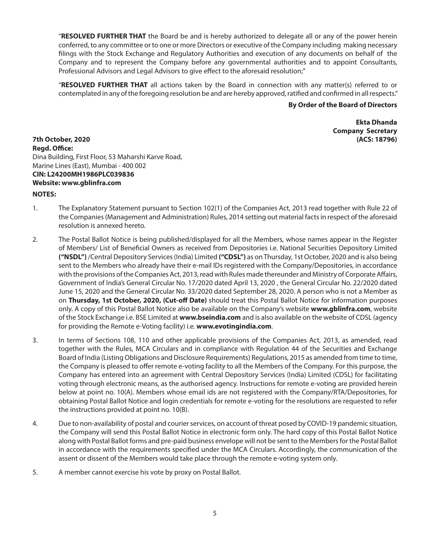"**RESOLVED FURTHER THAT** the Board be and is hereby authorized to delegate all or any of the power herein conferred, to any committee or to one or more Directors or executive of the Company including making necessary filings with the Stock Exchange and Regulatory Authorities and execution of any documents on behalf of the Company and to represent the Company before any governmental authorities and to appoint Consultants, Professional Advisors and Legal Advisors to give effect to the aforesaid resolution;"

"**RESOLVED FURTHER THAT** all actions taken by the Board in connection with any matter(s) referred to or contemplated in any of the foregoing resolution be and are hereby approved, ratified and confirmed in all respects."

#### **By Order of the Board of Directors**

**Ekta Dhanda Company Secretary**

**7th October, 2020 (ACS: 18796) Regd. Office:** Dina Building, First Floor, 53 Maharshi Karve Road, Marine Lines (East), Mumbai - 400 002 **CIN: L24200MH1986PLC039836 Website: www.gblinfra.com**

#### **NOTES:**

- 1. The Explanatory Statement pursuant to Section 102(1) of the Companies Act, 2013 read together with Rule 22 of the Companies (Management and Administration) Rules, 2014 setting out material facts in respect of the aforesaid resolution is annexed hereto.
- 2. The Postal Ballot Notice is being published/displayed for all the Members, whose names appear in the Register of Members/ List of Beneficial Owners as received from Depositories i.e. National Securities Depository Limited **("NSDL")** /Central Depository Services (India) Limited **("CDSL")** as on Thursday, 1st October, 2020 and is also being sent to the Members who already have their e-mail IDs registered with the Company/Depositories, in accordance with the provisions of the Companies Act, 2013, read with Rules made thereunder and Ministry of Corporate Affairs, Government of India's General Circular No. 17/2020 dated April 13, 2020 , the General Circular No. 22/2020 dated June 15, 2020 and the General Circular No. 33/2020 dated September 28, 2020. A person who is not a Member as on **Thursday, 1st October, 2020, (Cut-off Date)** should treat this Postal Ballot Notice for information purposes only. A copy of this Postal Ballot Notice also be available on the Company's website **www.gblinfra.com**, website of the Stock Exchange i.e. BSE Limited at **www.bseindia.com** and is also available on the website of CDSL (agency for providing the Remote e-Voting facility) i.e. **www.evotingindia.com**.
- 3. In terms of Sections 108, 110 and other applicable provisions of the Companies Act, 2013, as amended, read together with the Rules, MCA Circulars and in compliance with Regulation 44 of the Securities and Exchange Board of India (Listing Obligations and Disclosure Requirements) Regulations, 2015 as amended from time to time, the Company is pleased to offer remote e-voting facility to all the Members of the Company. For this purpose, the Company has entered into an agreement with Central Depository Services (India) Limited (CDSL) for facilitating voting through electronic means, as the authorised agency. Instructions for remote e-voting are provided herein below at point no. 10(A). Members whose email ids are not registered with the Company/RTA/Depositories, for obtaining Postal Ballot Notice and login credentials for remote e-voting for the resolutions are requested to refer the instructions provided at point no. 10(B).
- 4. Due to non-availability of postal and courier services, on account of threat posed by COVID-19 pandemic situation, the Company will send this Postal Ballot Notice in electronic form only. The hard copy of this Postal Ballot Notice along with Postal Ballot forms and pre-paid business envelope will not be sent to the Members for the Postal Ballot in accordance with the requirements specified under the MCA Circulars. Accordingly, the communication of the assent or dissent of the Members would take place through the remote e-voting system only.
- 5. A member cannot exercise his vote by proxy on Postal Ballot.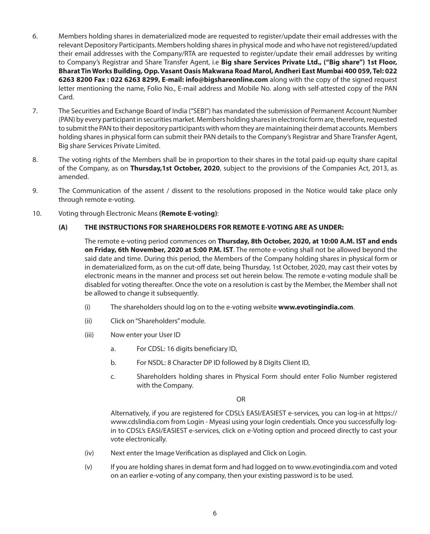- 6. Members holding shares in dematerialized mode are requested to register/update their email addresses with the relevant Depository Participants. Members holding shares in physical mode and who have not registered/updated their email addresses with the Company/RTA are requested to register/update their email addresses by writing to Company's Registrar and Share Transfer Agent, i.e **Big share Services Private Ltd., ("Big share") 1st Floor, Bharat Tin Works Building, Opp. Vasant Oasis Makwana Road Marol, Andheri East Mumbai 400 059, Tel: 022 6263 8200 Fax : 022 6263 8299, E-mail: info@bigshareonline.com** along with the copy of the signed request letter mentioning the name, Folio No., E-mail address and Mobile No. along with self-attested copy of the PAN Card.
- 7. The Securities and Exchange Board of India ("SEBI") has mandated the submission of Permanent Account Number (PAN) by every participant in securities market. Members holding shares in electronic form are, therefore, requested to submit the PAN to their depository participants with whom they are maintaining their demat accounts. Members holding shares in physical form can submit their PAN details to the Company's Registrar and Share Transfer Agent, Big share Services Private Limited.
- 8. The voting rights of the Members shall be in proportion to their shares in the total paid-up equity share capital of the Company, as on **Thursday,1st October, 2020**, subject to the provisions of the Companies Act, 2013, as amended.
- 9. The Communication of the assent / dissent to the resolutions proposed in the Notice would take place only through remote e-voting.
- 10. Voting through Electronic Means **(Remote E-voting)**:

## **(A) THE INSTRUCTIONS FOR SHAREHOLDERS FOR REMOTE E-VOTING ARE AS UNDER:**

The remote e-voting period commences on **Thursday, 8th October, 2020, at 10:00 A.M. IST and ends on Friday, 6th November, 2020 at 5:00 P.M. IST**. The remote e-voting shall not be allowed beyond the said date and time. During this period, the Members of the Company holding shares in physical form or in dematerialized form, as on the cut-off date, being Thursday, 1st October, 2020, may cast their votes by electronic means in the manner and process set out herein below. The remote e-voting module shall be disabled for voting thereafter. Once the vote on a resolution is cast by the Member, the Member shall not be allowed to change it subsequently.

- (i) The shareholders should log on to the e-voting website **www.evotingindia.com**.
- (ii) Click on "Shareholders" module.
- (iii) Now enter your User ID
	- a. For CDSL: 16 digits beneficiary ID,
	- b. For NSDL: 8 Character DP ID followed by 8 Digits Client ID,
	- c. Shareholders holding shares in Physical Form should enter Folio Number registered with the Company.

OR

Alternatively, if you are registered for CDSL's EASI/EASIEST e-services, you can log-in at https:// www.cdslindia.com from Login - Myeasi using your login credentials. Once you successfully login to CDSL's EASI/EASIEST e-services, click on e-Voting option and proceed directly to cast your vote electronically.

- (iv) Next enter the Image Verification as displayed and Click on Login.
- (v) If you are holding shares in demat form and had logged on to www.evotingindia.com and voted on an earlier e-voting of any company, then your existing password is to be used.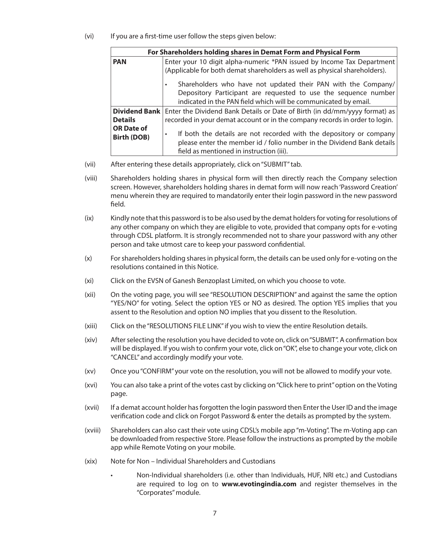(vi) If you are a first-time user follow the steps given below:

|                                                                                            | For Shareholders holding shares in Demat Form and Physical Form                                                                                                                                                                                                                   |  |  |  |  |  |  |  |
|--------------------------------------------------------------------------------------------|-----------------------------------------------------------------------------------------------------------------------------------------------------------------------------------------------------------------------------------------------------------------------------------|--|--|--|--|--|--|--|
| <b>PAN</b>                                                                                 | Enter your 10 digit alpha-numeric *PAN issued by Income Tax Department                                                                                                                                                                                                            |  |  |  |  |  |  |  |
|                                                                                            | (Applicable for both demat shareholders as well as physical shareholders).<br>Shareholders who have not updated their PAN with the Company/<br>Depository Participant are requested to use the sequence number<br>indicated in the PAN field which will be communicated by email. |  |  |  |  |  |  |  |
| Dividend Bank   Enter the Dividend Bank Details or Date of Birth (in dd/mm/yyyy format) as |                                                                                                                                                                                                                                                                                   |  |  |  |  |  |  |  |
| <b>Details</b>                                                                             | recorded in your demat account or in the company records in order to login.                                                                                                                                                                                                       |  |  |  |  |  |  |  |
| <b>OR Date of</b><br>Birth (DOB)                                                           | If both the details are not recorded with the depository or company<br>please enter the member id / folio number in the Dividend Bank details                                                                                                                                     |  |  |  |  |  |  |  |
|                                                                                            | field as mentioned in instruction (iii).                                                                                                                                                                                                                                          |  |  |  |  |  |  |  |

- (vii) After entering these details appropriately, click on "SUBMIT" tab.
- (viii) Shareholders holding shares in physical form will then directly reach the Company selection screen. However, shareholders holding shares in demat form will now reach 'Password Creation' menu wherein they are required to mandatorily enter their login password in the new password field.
- (ix) Kindly note that this password is to be also used by the demat holders for voting for resolutions of any other company on which they are eligible to vote, provided that company opts for e-voting through CDSL platform. It is strongly recommended not to share your password with any other person and take utmost care to keep your password confidential.
- (x) For shareholders holding shares in physical form, the details can be used only for e-voting on the resolutions contained in this Notice.
- (xi) Click on the EVSN of Ganesh Benzoplast Limited, on which you choose to vote.
- (xii) On the voting page, you will see "RESOLUTION DESCRIPTION" and against the same the option "YES/NO" for voting. Select the option YES or NO as desired. The option YES implies that you assent to the Resolution and option NO implies that you dissent to the Resolution.
- (xiii) Click on the "RESOLUTIONS FILE LINK" if you wish to view the entire Resolution details.
- (xiv) After selecting the resolution you have decided to vote on, click on "SUBMIT". A confirmation box will be displayed. If you wish to confirm your vote, click on "OK", else to change your vote, click on "CANCEL" and accordingly modify your vote.
- (xv) Once you "CONFIRM" your vote on the resolution, you will not be allowed to modify your vote.
- (xvi) You can also take a print of the votes cast by clicking on "Click here to print" option on the Voting page.
- (xvii) If a demat account holder has forgotten the login password then Enter the User ID and the image verification code and click on Forgot Password & enter the details as prompted by the system.
- (xviii) Shareholders can also cast their vote using CDSL's mobile app "m-Voting". The m-Voting app can be downloaded from respective Store. Please follow the instructions as prompted by the mobile app while Remote Voting on your mobile.
- (xix) Note for Non Individual Shareholders and Custodians
	- Non-Individual shareholders (i.e. other than Individuals, HUF, NRI etc.) and Custodians are required to log on to **www.evotingindia.com** and register themselves in the "Corporates" module.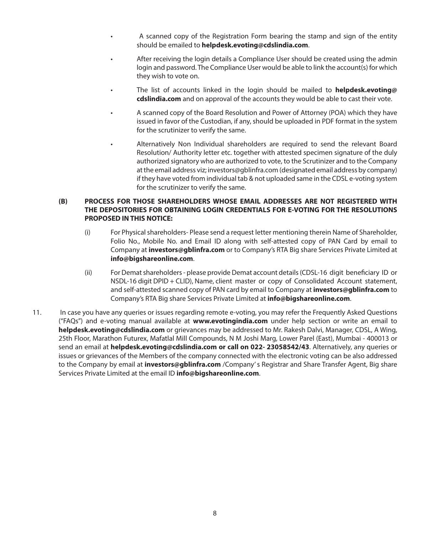- A scanned copy of the Registration Form bearing the stamp and sign of the entity should be emailed to **helpdesk.evoting@cdslindia.com**.
- After receiving the login details a Compliance User should be created using the admin login and password. The Compliance User would be able to link the account(s) for which they wish to vote on.
- • The list of accounts linked in the login should be mailed to **helpdesk.evoting@ cdslindia.com** and on approval of the accounts they would be able to cast their vote.
- • A scanned copy of the Board Resolution and Power of Attorney (POA) which they have issued in favor of the Custodian, if any, should be uploaded in PDF format in the system for the scrutinizer to verify the same.
- Alternatively Non Individual shareholders are required to send the relevant Board Resolution/ Authority letter etc. together with attested specimen signature of the duly authorized signatory who are authorized to vote, to the Scrutinizer and to the Company at the email address viz; investors@gblinfra.com (designated email address by company) if they have voted from individual tab & not uploaded same in the CDSL e-voting system for the scrutinizer to verify the same.

## **(B) PROCESS FOR THOSE SHAREHOLDERS WHOSE EMAIL ADDRESSES ARE NOT REGISTERED WITH THE DEPOSITORIES FOR OBTAINING LOGIN CREDENTIALS FOR E-VOTING FOR THE RESOLUTIONS PROPOSED IN THIS NOTICE:**

- (i) For Physical shareholders- Please send a request letter mentioning therein Name of Shareholder, Folio No., Mobile No. and Email ID along with self-attested copy of PAN Card by email to Company at **investors@gblinfra.com** or to Company's RTA Big share Services Private Limited at **info@bigshareonline.com**.
- (ii) For Demat shareholders please provide Demat account details (CDSL-16 digit beneficiary ID or NSDL-16 digit DPID + CLID), Name, client master or copy of Consolidated Account statement, and self-attested scanned copy of PAN card by email to Company at **investors@gblinfra.com** to Company's RTA Big share Services Private Limited at **info@bigshareonline.com**.
- 11. In case you have any queries or issues regarding remote e-voting, you may refer the Frequently Asked Questions ("FAQs") and e-voting manual available at **www.evotingindia.com** under help section or write an email to **helpdesk.evoting@cdslindia.com** or grievances may be addressed to Mr. Rakesh Dalvi, Manager, CDSL, A Wing, 25th Floor, Marathon Futurex, Mafatlal Mill Compounds, N M Joshi Marg, Lower Parel (East), Mumbai - 400013 or send an email at **helpdesk.evoting@cdslindia.com or call on 022- 23058542/43**. Alternatively, any queries or issues or grievances of the Members of the company connected with the electronic voting can be also addressed to the Company by email at **investors@gblinfra.com** /Company' s Registrar and Share Transfer Agent, Big share Services Private Limited at the email ID **info@bigshareonline.com**.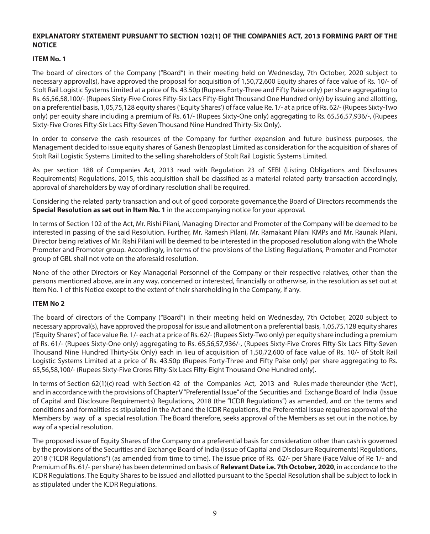## **EXPLANATORY STATEMENT PURSUANT TO SECTION 102(1) OF THE COMPANIES ACT, 2013 FORMING PART OF THE NOTICE**

## **ITEM No. 1**

The board of directors of the Company ("Board") in their meeting held on Wednesday, 7th October, 2020 subject to necessary approval(s), have approved the proposal for acquisition of 1,50,72,600 Equity shares of face value of Rs. 10/- of Stolt Rail Logistic Systems Limited at a price of Rs. 43.50p (Rupees Forty-Three and Fifty Paise only) per share aggregating to Rs. 65,56,58,100/- (Rupees Sixty-Five Crores Fifty-Six Lacs Fifty-Eight Thousand One Hundred only) by issuing and allotting, on a preferential basis, 1,05,75,128 equity shares ('Equity Shares') of face value Re. 1/- at a price of Rs. 62/- (Rupees Sixty-Two only) per equity share including a premium of Rs. 61/- (Rupees Sixty-One only) aggregating to Rs. 65,56,57,936/-, (Rupees Sixty-Five Crores Fifty-Six Lacs Fifty-Seven Thousand Nine Hundred Thirty-Six Only).

In order to conserve the cash resources of the Company for further expansion and future business purposes, the Management decided to issue equity shares of Ganesh Benzoplast Limited as consideration for the acquisition of shares of Stolt Rail Logistic Systems Limited to the selling shareholders of Stolt Rail Logistic Systems Limited.

As per section 188 of Companies Act, 2013 read with Regulation 23 of SEBI (Listing Obligations and Disclosures Requirements) Regulations, 2015, this acquisition shall be classified as a material related party transaction accordingly, approval of shareholders by way of ordinary resolution shall be required.

Considering the related party transaction and out of good corporate governance,the Board of Directors recommends the **Special Resolution as set out in Item No. 1** in the accompanying notice for your approval.

In terms of Section 102 of the Act, Mr. Rishi Pilani, Managing Director and Promoter of the Company will be deemed to be interested in passing of the said Resolution. Further, Mr. Ramesh Pilani, Mr. Ramakant Pilani KMPs and Mr. Raunak Pilani, Director being relatives of Mr. Rishi Pilani will be deemed to be interested in the proposed resolution along with the Whole Promoter and Promoter group. Accordingly, in terms of the provisions of the Listing Regulations, Promoter and Promoter group of GBL shall not vote on the aforesaid resolution.

None of the other Directors or Key Managerial Personnel of the Company or their respective relatives, other than the persons mentioned above, are in any way, concerned or interested, financially or otherwise, in the resolution as set out at Item No. 1 of this Notice except to the extent of their shareholding in the Company, if any.

#### **ITEM No 2**

The board of directors of the Company ("Board") in their meeting held on Wednesday, 7th October, 2020 subject to necessary approval(s), have approved the proposal for issue and allotment on a preferential basis, 1,05,75,128 equity shares ('Equity Shares') of face value Re. 1/- each at a price of Rs. 62/- (Rupees Sixty-Two only) per equity share including a premium of Rs. 61/- (Rupees Sixty-One only) aggregating to Rs. 65,56,57,936/-, (Rupees Sixty-Five Crores Fifty-Six Lacs Fifty-Seven Thousand Nine Hundred Thirty-Six Only) each in lieu of acquisition of 1,50,72,600 of face value of Rs. 10/- of Stolt Rail Logistic Systems Limited at a price of Rs. 43.50p (Rupees Forty-Three and Fifty Paise only) per share aggregating to Rs. 65,56,58,100/- (Rupees Sixty-Five Crores Fifty-Six Lacs Fifty-Eight Thousand One Hundred only).

In terms of Section 62(1)(c) read with Section 42 of the Companies Act, 2013 and Rules made thereunder (the 'Act'), and in accordance with the provisions of Chapter V "Preferential Issue" of the Securities and Exchange Board of India (Issue of Capital and Disclosure Requirements) Regulations, 2018 (the "ICDR Regulations") as amended, and on the terms and conditions and formalities as stipulated in the Act and the ICDR Regulations, the Preferential Issue requires approval of the Members by way of a special resolution. The Board therefore, seeks approval of the Members as set out in the notice, by way of a special resolution.

The proposed issue of Equity Shares of the Company on a preferential basis for consideration other than cash is governed by the provisions of the Securities and Exchange Board of India (Issue of Capital and Disclosure Requirements) Regulations, 2018 ("ICDR Regulations") (as amended from time to time). The issue price of Rs. 62/- per Share (Face Value of Re 1/- and Premium of Rs. 61/- per share) has been determined on basis of **Relevant Date i.e. 7th October, 2020**, in accordance to the ICDR Regulations. The Equity Shares to be issued and allotted pursuant to the Special Resolution shall be subject to lock in as stipulated under the ICDR Regulations.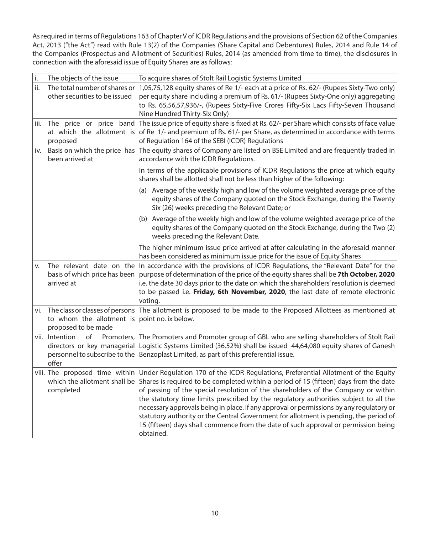As required in terms of Regulations 163 of Chapter V of ICDR Regulations and the provisions of Section 62 of the Companies Act, 2013 ("the Act") read with Rule 13(2) of the Companies (Share Capital and Debentures) Rules, 2014 and Rule 14 of the Companies (Prospectus and Allotment of Securities) Rules, 2014 (as amended from time to time), the disclosures in connection with the aforesaid issue of Equity Shares are as follows:

| i.  | The objects of the issue                                                                                    | To acquire shares of Stolt Rail Logistic Systems Limited                                                                                                                                                                                                                                                                                                                                                                                                                                                                                                                                                                                          |  |  |  |  |
|-----|-------------------------------------------------------------------------------------------------------------|---------------------------------------------------------------------------------------------------------------------------------------------------------------------------------------------------------------------------------------------------------------------------------------------------------------------------------------------------------------------------------------------------------------------------------------------------------------------------------------------------------------------------------------------------------------------------------------------------------------------------------------------------|--|--|--|--|
| ii. | The total number of shares or<br>other securities to be issued                                              | 1,05,75,128 equity shares of Re 1/- each at a price of Rs. 62/- (Rupees Sixty-Two only)<br>per equity share including a premium of Rs. 61/- (Rupees Sixty-One only) aggregating<br>to Rs. 65,56,57,936/-, (Rupees Sixty-Five Crores Fifty-Six Lacs Fifty-Seven Thousand<br>Nine Hundred Thirty-Six Only)                                                                                                                                                                                                                                                                                                                                          |  |  |  |  |
|     | iii. The price or price band<br>at which the allotment is<br>proposed                                       | The issue price of equity share is fixed at Rs. 62/- per Share which consists of face value<br>of Re 1/- and premium of Rs. 61/- per Share, as determined in accordance with terms<br>of Regulation 164 of the SEBI (ICDR) Regulations                                                                                                                                                                                                                                                                                                                                                                                                            |  |  |  |  |
| İV. | Basis on which the price has<br>been arrived at                                                             | The equity shares of Company are listed on BSE Limited and are frequently traded in<br>accordance with the ICDR Regulations.                                                                                                                                                                                                                                                                                                                                                                                                                                                                                                                      |  |  |  |  |
|     |                                                                                                             | In terms of the applicable provisions of ICDR Regulations the price at which equity<br>shares shall be allotted shall not be less than higher of the following:                                                                                                                                                                                                                                                                                                                                                                                                                                                                                   |  |  |  |  |
|     |                                                                                                             | (a) Average of the weekly high and low of the volume weighted average price of the<br>equity shares of the Company quoted on the Stock Exchange, during the Twenty<br>Six (26) weeks preceding the Relevant Date; or                                                                                                                                                                                                                                                                                                                                                                                                                              |  |  |  |  |
|     |                                                                                                             | (b) Average of the weekly high and low of the volume weighted average price of the<br>equity shares of the Company quoted on the Stock Exchange, during the Two (2)<br>weeks preceding the Relevant Date.                                                                                                                                                                                                                                                                                                                                                                                                                                         |  |  |  |  |
|     |                                                                                                             | The higher minimum issue price arrived at after calculating in the aforesaid manner<br>has been considered as minimum issue price for the issue of Equity Shares                                                                                                                                                                                                                                                                                                                                                                                                                                                                                  |  |  |  |  |
| V.  | The relevant date on the<br>basis of which price has been<br>arrived at                                     | In accordance with the provisions of ICDR Regulations, the "Relevant Date" for the<br>purpose of determination of the price of the equity shares shall be 7th October, 2020<br>i.e. the date 30 days prior to the date on which the shareholders' resolution is deemed<br>to be passed i.e. Friday, 6th November, 2020, the last date of remote electronic<br>voting.                                                                                                                                                                                                                                                                             |  |  |  |  |
|     | vi. The class or classes of persons<br>to whom the allotment is<br>proposed to be made                      | The allotment is proposed to be made to the Proposed Allottees as mentioned at<br>point no. ix below.                                                                                                                                                                                                                                                                                                                                                                                                                                                                                                                                             |  |  |  |  |
|     | vii. Intention<br>of<br>Promoters,<br>directors or key managerial<br>personnel to subscribe to the<br>offer | The Promoters and Promoter group of GBL who are selling shareholders of Stolt Rail<br>Logistic Systems Limited (36.52%) shall be issued 44,64,080 equity shares of Ganesh<br>Benzoplast Limited, as part of this preferential issue.                                                                                                                                                                                                                                                                                                                                                                                                              |  |  |  |  |
|     | viii. The proposed time within<br>which the allotment shall be<br>completed                                 | Under Regulation 170 of the ICDR Regulations, Preferential Allotment of the Equity<br>Shares is required to be completed within a period of 15 (fifteen) days from the date<br>of passing of the special resolution of the shareholders of the Company or within<br>the statutory time limits prescribed by the regulatory authorities subject to all the<br>necessary approvals being in place. If any approval or permissions by any regulatory or<br>statutory authority or the Central Government for allotment is pending, the period of<br>15 (fifteen) days shall commence from the date of such approval or permission being<br>obtained. |  |  |  |  |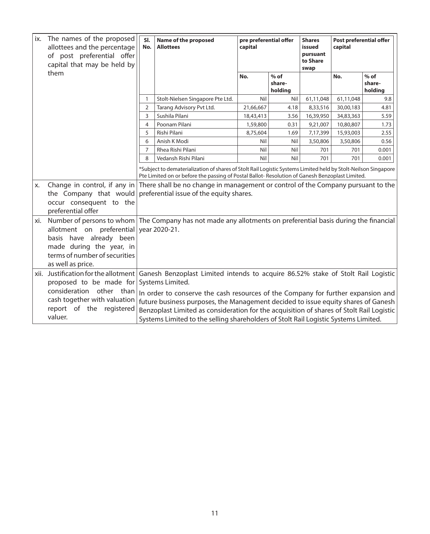| ix.                                                                 | The names of the proposed<br>allottees and the percentage<br>of post preferential offer<br>capital that may be held by                 | SI.<br>No.                                                                                                                                                                                                                    | Name of the proposed<br><b>Allottees</b>                                                                                                                                                                                                                             | pre preferential offer<br>capital |                             | Post preferential offer<br><b>Shares</b><br>capital<br>issued<br>pursuant<br>to Share<br>swap |           |                             |
|---------------------------------------------------------------------|----------------------------------------------------------------------------------------------------------------------------------------|-------------------------------------------------------------------------------------------------------------------------------------------------------------------------------------------------------------------------------|----------------------------------------------------------------------------------------------------------------------------------------------------------------------------------------------------------------------------------------------------------------------|-----------------------------------|-----------------------------|-----------------------------------------------------------------------------------------------|-----------|-----------------------------|
|                                                                     | them                                                                                                                                   |                                                                                                                                                                                                                               |                                                                                                                                                                                                                                                                      | No.                               | $%$ of<br>share-<br>holding |                                                                                               | No.       | $%$ of<br>share-<br>holding |
|                                                                     |                                                                                                                                        | 1                                                                                                                                                                                                                             | Stolt-Nielsen Singapore Pte Ltd.                                                                                                                                                                                                                                     | Nil                               | Nil                         | 61,11,048                                                                                     | 61,11,048 | 9.8                         |
|                                                                     |                                                                                                                                        | 2                                                                                                                                                                                                                             | Tarang Advisory Pvt Ltd.                                                                                                                                                                                                                                             | 21,66,667                         | 4.18                        | 8,33,516                                                                                      | 30,00,183 | 4.81                        |
|                                                                     |                                                                                                                                        | 3                                                                                                                                                                                                                             | Sushila Pilani                                                                                                                                                                                                                                                       | 18,43,413                         | 3.56                        | 16,39,950                                                                                     | 34,83,363 | 5.59                        |
|                                                                     |                                                                                                                                        | 4                                                                                                                                                                                                                             | Poonam Pilani                                                                                                                                                                                                                                                        | 1,59,800                          | 0.31                        | 9,21,007                                                                                      | 10,80,807 | 1.73                        |
|                                                                     |                                                                                                                                        | 5                                                                                                                                                                                                                             | Rishi Pilani                                                                                                                                                                                                                                                         | 8,75,604                          | 1.69                        | 7,17,399                                                                                      | 15,93,003 | 2.55                        |
|                                                                     |                                                                                                                                        | 6                                                                                                                                                                                                                             | Anish K Modi                                                                                                                                                                                                                                                         | Nil                               | Nil                         | 3,50,806                                                                                      | 3,50,806  | 0.56                        |
|                                                                     |                                                                                                                                        | $\overline{7}$                                                                                                                                                                                                                | Rhea Rishi Pilani                                                                                                                                                                                                                                                    | Nil                               | Nil                         | 701                                                                                           | 701       | 0.001                       |
|                                                                     |                                                                                                                                        | 8                                                                                                                                                                                                                             | Vedansh Rishi Pilani                                                                                                                                                                                                                                                 | Nil                               | Nil                         | 701                                                                                           | 701       | 0.001                       |
|                                                                     |                                                                                                                                        |                                                                                                                                                                                                                               | *Subject to dematerialization of shares of Stolt Rail Logistic Systems Limited held by Stolt-Neilson Singapore<br>Pte Limited on or before the passing of Postal Ballot-Resolution of Ganesh Benzoplast Limited.                                                     |                                   |                             |                                                                                               |           |                             |
| X.                                                                  | Change in control, if any in<br>the Company that would<br>occur consequent to the<br>preferential offer                                | There shall be no change in management or control of the Company pursuant to the<br>preferential issue of the equity shares.                                                                                                  |                                                                                                                                                                                                                                                                      |                                   |                             |                                                                                               |           |                             |
| xi.                                                                 | allotment on preferential<br>basis have already been<br>made during the year, in<br>terms of number of securities<br>as well as price. | Number of persons to whom The Company has not made any allotments on preferential basis during the financial<br>year 2020-21.                                                                                                 |                                                                                                                                                                                                                                                                      |                                   |                             |                                                                                               |           |                             |
| proposed to be made for<br>consideration other than                 |                                                                                                                                        | xii. Justification for the allotment Ganesh Benzoplast Limited intends to acquire 86.52% stake of Stolt Rail Logistic<br>Systems Limited.<br>In order to conserve the cash resources of the Company for further expansion and |                                                                                                                                                                                                                                                                      |                                   |                             |                                                                                               |           |                             |
| cash together with valuation<br>report of the registered<br>valuer. |                                                                                                                                        |                                                                                                                                                                                                                               | future business purposes, the Management decided to issue equity shares of Ganesh<br>Benzoplast Limited as consideration for the acquisition of shares of Stolt Rail Logistic<br>Systems Limited to the selling shareholders of Stolt Rail Logistic Systems Limited. |                                   |                             |                                                                                               |           |                             |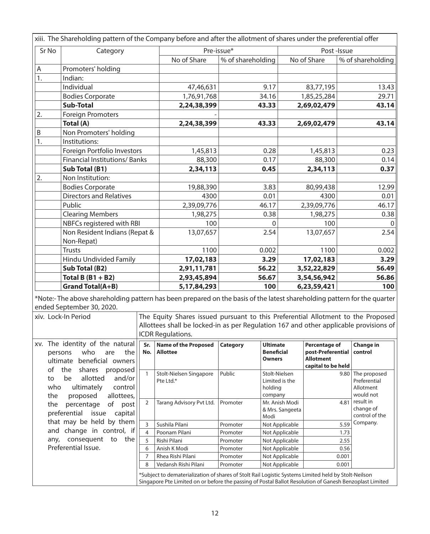|                                                                                                                                                                                                                       | xiii. The Shareholding pattern of the Company before and after the allotment of shares under the preferential offer |              |                                         |                   |                                                       |                                                                                     |                                                                |  |
|-----------------------------------------------------------------------------------------------------------------------------------------------------------------------------------------------------------------------|---------------------------------------------------------------------------------------------------------------------|--------------|-----------------------------------------|-------------------|-------------------------------------------------------|-------------------------------------------------------------------------------------|----------------------------------------------------------------|--|
| Sr No                                                                                                                                                                                                                 | Category                                                                                                            |              | Pre-issue*                              |                   |                                                       | Post-Issue                                                                          |                                                                |  |
|                                                                                                                                                                                                                       |                                                                                                                     |              | No of Share                             | % of shareholding |                                                       | No of Share                                                                         | % of shareholding                                              |  |
| Promoters' holding<br>Α                                                                                                                                                                                               |                                                                                                                     |              |                                         |                   |                                                       |                                                                                     |                                                                |  |
| 1.<br>Indian:                                                                                                                                                                                                         |                                                                                                                     |              |                                         |                   |                                                       |                                                                                     |                                                                |  |
|                                                                                                                                                                                                                       | Individual                                                                                                          |              | 47,46,631                               |                   | 9.17                                                  | 83,77,195                                                                           | 13.43                                                          |  |
|                                                                                                                                                                                                                       | <b>Bodies Corporate</b>                                                                                             |              | 1,76,91,768                             |                   | 34.16                                                 | 1,85,25,284                                                                         | 29.71                                                          |  |
|                                                                                                                                                                                                                       | <b>Sub-Total</b>                                                                                                    |              | 2,24,38,399                             |                   | 43.33                                                 | 2,69,02,479                                                                         | 43.14                                                          |  |
| 2.                                                                                                                                                                                                                    | <b>Foreign Promoters</b>                                                                                            |              |                                         |                   |                                                       |                                                                                     |                                                                |  |
|                                                                                                                                                                                                                       | Total (A)                                                                                                           |              | 2,24,38,399                             |                   | 43.33                                                 | 2,69,02,479                                                                         | 43.14                                                          |  |
| B                                                                                                                                                                                                                     | Non Promoters' holding                                                                                              |              |                                         |                   |                                                       |                                                                                     |                                                                |  |
| $\overline{1}$ .                                                                                                                                                                                                      | Institutions:                                                                                                       |              |                                         |                   |                                                       |                                                                                     |                                                                |  |
|                                                                                                                                                                                                                       | Foreign Portfolio Investors                                                                                         |              | 1,45,813                                |                   | 0.28                                                  | 1,45,813                                                                            | 0.23                                                           |  |
|                                                                                                                                                                                                                       | Financial Institutions/Banks                                                                                        |              | 88,300                                  |                   | 0.17                                                  | 88,300                                                                              | 0.14                                                           |  |
|                                                                                                                                                                                                                       | Sub Total (B1)                                                                                                      |              | 2,34,113                                |                   | 0.45                                                  | 2,34,113                                                                            | 0.37                                                           |  |
| 2.                                                                                                                                                                                                                    | Non Institution:                                                                                                    |              |                                         |                   |                                                       |                                                                                     |                                                                |  |
|                                                                                                                                                                                                                       | <b>Bodies Corporate</b>                                                                                             |              | 19,88,390                               |                   | 3.83                                                  | 80,99,438                                                                           | 12.99                                                          |  |
|                                                                                                                                                                                                                       | <b>Directors and Relatives</b>                                                                                      |              | 4300                                    |                   | 0.01                                                  | 4300                                                                                | 0.01                                                           |  |
|                                                                                                                                                                                                                       | Public                                                                                                              |              | 2,39,09,776                             |                   | 46.17                                                 | 2,39,09,776                                                                         | 46.17                                                          |  |
|                                                                                                                                                                                                                       | <b>Clearing Members</b>                                                                                             |              | 1,98,275                                |                   | 0.38                                                  | 1,98,275                                                                            | 0.38                                                           |  |
|                                                                                                                                                                                                                       | NBFCs registered with RBI                                                                                           |              | 100                                     |                   | $\Omega$                                              | 100                                                                                 | $\Omega$                                                       |  |
|                                                                                                                                                                                                                       | Non Resident Indians (Repat &<br>Non-Repat)                                                                         |              | 13,07,657                               |                   | 2.54                                                  | 13,07,657                                                                           | 2.54                                                           |  |
|                                                                                                                                                                                                                       | <b>Trusts</b>                                                                                                       |              | 1100                                    |                   | 0.002                                                 | 1100                                                                                | 0.002                                                          |  |
|                                                                                                                                                                                                                       | Hindu Undivided Family                                                                                              |              | 17,02,183                               |                   | 3.29                                                  | 17,02,183                                                                           | 3.29                                                           |  |
| Sub Total (B2)<br>Total B $(B1 + B2)$                                                                                                                                                                                 |                                                                                                                     |              | 2,91,11,781                             |                   | 56.22                                                 | 3,52,22,829                                                                         | 56.49                                                          |  |
|                                                                                                                                                                                                                       |                                                                                                                     |              | 2,93,45,894                             |                   | 56.67                                                 | 3,54,56,942                                                                         | 56.86                                                          |  |
|                                                                                                                                                                                                                       | <b>Grand Total(A+B)</b>                                                                                             |              | 5, 17, 84, 293                          |                   | 100                                                   | 6,23,59,421                                                                         | 100                                                            |  |
| *Note:-The above shareholding pattern has been prepared on the basis of the latest shareholding pattern for the quarter<br>ended September 30, 2020.                                                                  |                                                                                                                     |              |                                         |                   |                                                       |                                                                                     |                                                                |  |
| The Equity Shares issued pursuant to this Preferential Allotment to the Proposed<br>xiv. Lock-In Period<br>Allottees shall be locked-in as per Regulation 167 and other applicable provisions of<br>ICDR Regulations. |                                                                                                                     |              |                                         |                   |                                                       |                                                                                     |                                                                |  |
| xv. The identity of the natural<br>who<br>persons<br>are<br>the<br>ultimate beneficial owners<br>of<br>the shares                                                                                                     |                                                                                                                     | Sr.<br>No.   | Name of the Proposed<br><b>Allottee</b> | Category          | <b>Ultimate</b><br><b>Beneficial</b><br><b>Owners</b> | <b>Percentage of</b><br>post-Preferential<br><b>Allotment</b><br>capital to be held | Change in<br>control                                           |  |
| to<br>who<br>the                                                                                                                                                                                                      | proposed<br>be<br>allotted<br>and/or<br>ultimately<br>control<br>proposed<br>allottees,                             | $\mathbf{1}$ | Stolt-Nielsen Singapore<br>Pte Ltd.*    | Public            | Stolt-Nielsen<br>Limited is the<br>holding<br>company |                                                                                     | The proposed<br>9.80<br>Preferential<br>Allotment<br>would not |  |

2 Tarang Advisory Pvt Ltd. Promoter Mr. Anish Modi

3 Sushila Pilani Promoter Not Applicable 5.59 4 Poonam Pilani Promoter Not Applicable 1.73 5 | Rishi Pilani | Promoter | Not Applicable | 2.55 6 Anish K Modi Promoter Not Applicable 0.56 7 Rhea Rishi Pilani Promoter Not Applicable 0.001 8 | Vedansh Rishi Pilani | Promoter | Not Applicable | 0.001 \*Subject to dematerialization of shares of Stolt Rail Logistic Systems Limited held by Stolt-Neilson Singapore Pte Limited on or before the passing of Postal Ballot Resolution of Ganesh Benzoplast Limited

& Mrs. Sangeeta Modi

4.81  $\vert$  result in change of control of the Company.

the percentage of post preferential issue capital that may be held by them and change in control, if any, consequent to the

Preferential Issue.